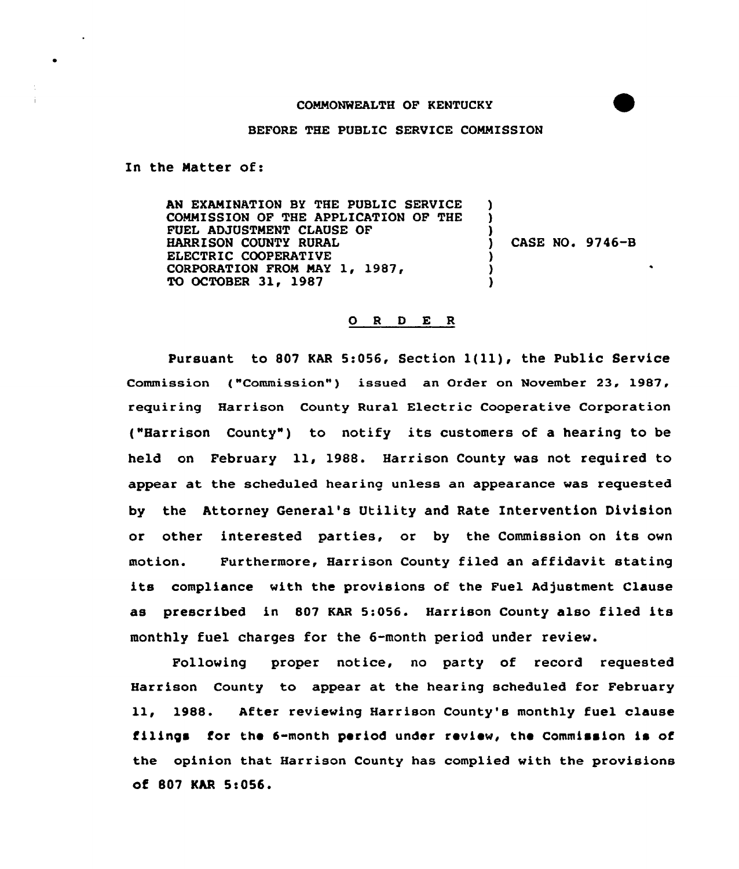## COMMONWEALTH OF KENTUCKY



## BEFORE THE PUBLIC SERVICE COMMISSION

In the Natter of:

AN EXAMINATION BY THE PUBLIC SERVICE COMMISSION OF THE APPLICATION OF THE FUEL ADJUSTMENT CLAUSE OF HARRISON COUNTY RURAL ELECTRIC COOPERATIVE CORPORATION FROM MAY 1, 1987, TO OCTOBER 31, 1987 ) )  $\frac{1}{2}$ ) CASE NO. 9746-B ) ) )

## O R D E R

Pursuant to <sup>807</sup> KAR 5:056, Section l(ll), the Public Service Commission ("Commission") issued an Order on November 23, 1987, requiring Harrison County Rural Electric Cooperative Corporation ("Harrison County" ) to notify its customers of <sup>a</sup> hearing to be held on February ll, 1988. Harrison County was not required to appear at the scheduled hearing unless an appearance was requested by the Attorney General's Utility and Rate Intervention Division or other interested parties, or by the Commission on its own motion. Furthermore, Harrison County filed an affidavit stating its compliance with the provisions of the Fuel Adjustment Clause as prescribed in <sup>807</sup> KAR 5:056. Harrison County also filed its monthly fuel charges for the 6-month period under review.

Following proper notice, no party of record requested Harrison County to appear at the hearing scheduled for February ll, 1988. After reviewing Harrison County's monthly fuel clause filings for the 6-month period under review, the Commission is of the opinion that Harrison County has complied with the provisions of 807 KAR 5<056.